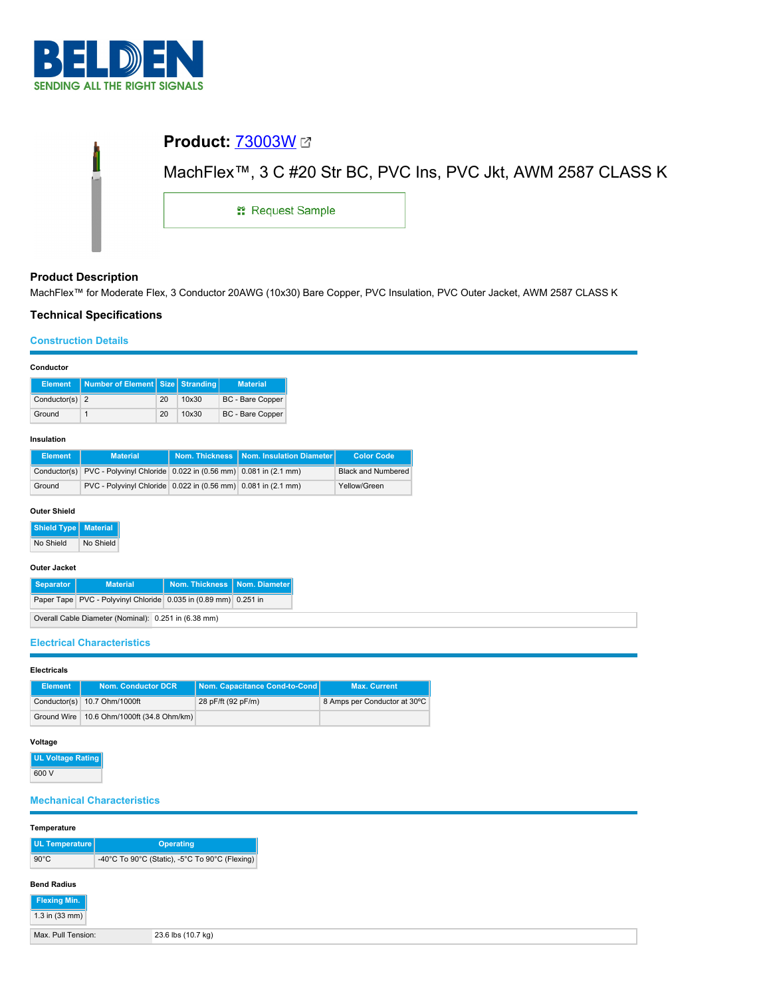

|                         | MachFlex™, 3 C #20 Str BC, PVC Ins, PVC Jkt, AWM 2587 CLASS K |
|-------------------------|---------------------------------------------------------------|
| <b>: Request Sample</b> |                                                               |

# **Product Description**

MachFlex™ for Moderate Flex, 3 Conductor 20AWG (10x30) Bare Copper, PVC Insulation, PVC Outer Jacket, AWM 2587 CLASS K

# **Technical Specifications**

## **Construction Details**

#### **Conductor**

| <b>Element</b>   | Number of Element Size Stranding |    |       | <b>Material</b>         |
|------------------|----------------------------------|----|-------|-------------------------|
| Conductor(s) $2$ |                                  | 20 | 10x30 | <b>BC</b> - Bare Copper |
| Ground           |                                  | 20 | 10x30 | <b>BC</b> - Bare Copper |

#### **Insulation**

| <b>Element</b> | <b>Material</b>                                                            | Nom. Thickness   Nom. Insulation Diameter | <b>Color Code</b>         |
|----------------|----------------------------------------------------------------------------|-------------------------------------------|---------------------------|
|                | Conductor(s) PVC - Polyvinyl Chloride 0.022 in (0.56 mm) 0.081 in (2.1 mm) |                                           | <b>Black and Numbered</b> |
| Ground         | PVC - Polyvinyl Chloride 0.022 in (0.56 mm) 0.081 in (2.1 mm)              |                                           | Yellow/Green              |

#### **Outer Shield**

**Shield Type Material**

No Shield No Shield

#### **Outer Jacket**

| Separator                                            | <b>Material</b>                                                 | Nom. Thickness   Nom. Diameter |  |
|------------------------------------------------------|-----------------------------------------------------------------|--------------------------------|--|
|                                                      | Paper Tape PVC - Polyvinyl Chloride 0.035 in (0.89 mm) 0.251 in |                                |  |
| Overall Cable Diameter (Nominal): 0.251 in (6.38 mm) |                                                                 |                                |  |

### **Electrical Characteristics**

#### **Electricals**

| <b>Element</b> | <b>Nom. Conductor DCR</b>                   | Nom. Capacitance Cond-to-Cond | <b>Max. Current</b>          |
|----------------|---------------------------------------------|-------------------------------|------------------------------|
|                | Conductor(s) 10.7 Ohm/1000ft                | 28 pF/ft (92 pF/m)            | 8 Amps per Conductor at 30°C |
|                | Ground Wire   10.6 Ohm/1000ft (34.8 Ohm/km) |                               |                              |

### **Voltage**

**UL Voltage Rating** 600 V

# **Mechanical Characteristics**

## **Temperature**

| UL Temperature     | <b>Operating</b>                               |
|--------------------|------------------------------------------------|
| $90^{\circ}$ C     | -40°C To 90°C (Static), -5°C To 90°C (Flexing) |
| <b>Rond Padius</b> |                                                |

#### **Bend Radius**

| Flexing Min.       |                    |
|--------------------|--------------------|
| $1.3$ in (33 mm)   |                    |
| Max. Pull Tension: | 23.6 lbs (10.7 kg) |